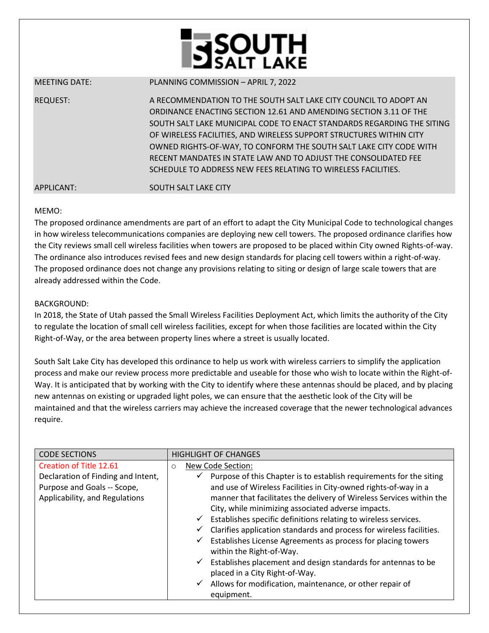

MEETING DATE: PLANNING COMMISSION – APRIL 7, 2022 REQUEST: A RECOMMENDATION TO THE SOUTH SALT LAKE CITY COUNCIL TO ADOPT AN ORDINANCE ENACTING SECTION 12.61 AND AMENDING SECTION 3.11 OF THE SOUTH SALT LAKE MUNICIPAL CODE TO ENACT STANDARDS REGARDING THE SITING OF WIRELESS FACILITIES, AND WIRELESS SUPPORT STRUCTURES WITHIN CITY OWNED RIGHTS-OF-WAY, TO CONFORM THE SOUTH SALT LAKE CITY CODE WITH RECENT MANDATES IN STATE LAW AND TO ADJUST THE CONSOLIDATED FEE SCHEDULE TO ADDRESS NEW FEES RELATING TO WIRELESS FACILITIES. APPLICANT: SOUTH SALT LAKE CITY

## MEMO:

The proposed ordinance amendments are part of an effort to adapt the City Municipal Code to technological changes in how wireless telecommunications companies are deploying new cell towers. The proposed ordinance clarifies how the City reviews small cell wireless facilities when towers are proposed to be placed within City owned Rights-of-way. The ordinance also introduces revised fees and new design standards for placing cell towers within a right-of-way. The proposed ordinance does not change any provisions relating to siting or design of large scale towers that are already addressed within the Code.

## BACKGROUND:

In 2018, the State of Utah passed the Small Wireless Facilities Deployment Act, which limits the authority of the City to regulate the location of small cell wireless facilities, except for when those facilities are located within the City Right-of-Way, or the area between property lines where a street is usually located.

South Salt Lake City has developed this ordinance to help us work with wireless carriers to simplify the application process and make our review process more predictable and useable for those who wish to locate within the Right-of-Way. It is anticipated that by working with the City to identify where these antennas should be placed, and by placing new antennas on existing or upgraded light poles, we can ensure that the aesthetic look of the City will be maintained and that the wireless carriers may achieve the increased coverage that the newer technological advances require.

| <b>CODE SECTIONS</b>               | <b>HIGHLIGHT OF CHANGES</b>                                                                                     |
|------------------------------------|-----------------------------------------------------------------------------------------------------------------|
| Creation of Title 12.61            | New Code Section:<br>$\circ$                                                                                    |
| Declaration of Finding and Intent, | Purpose of this Chapter is to establish requirements for the siting<br>$\checkmark$                             |
| Purpose and Goals -- Scope,        | and use of Wireless Facilities in City-owned rights-of-way in a                                                 |
| Applicability, and Regulations     | manner that facilitates the delivery of Wireless Services within the                                            |
|                                    | City, while minimizing associated adverse impacts.                                                              |
|                                    | $\checkmark$ Establishes specific definitions relating to wireless services.                                    |
|                                    | Clarifies application standards and process for wireless facilities.<br>✓                                       |
|                                    | Establishes License Agreements as process for placing towers<br>$\checkmark$<br>within the Right-of-Way.        |
|                                    | Establishes placement and design standards for antennas to be<br>$\checkmark$<br>placed in a City Right-of-Way. |
|                                    | Allows for modification, maintenance, or other repair of<br>$\checkmark$                                        |
|                                    | equipment.                                                                                                      |